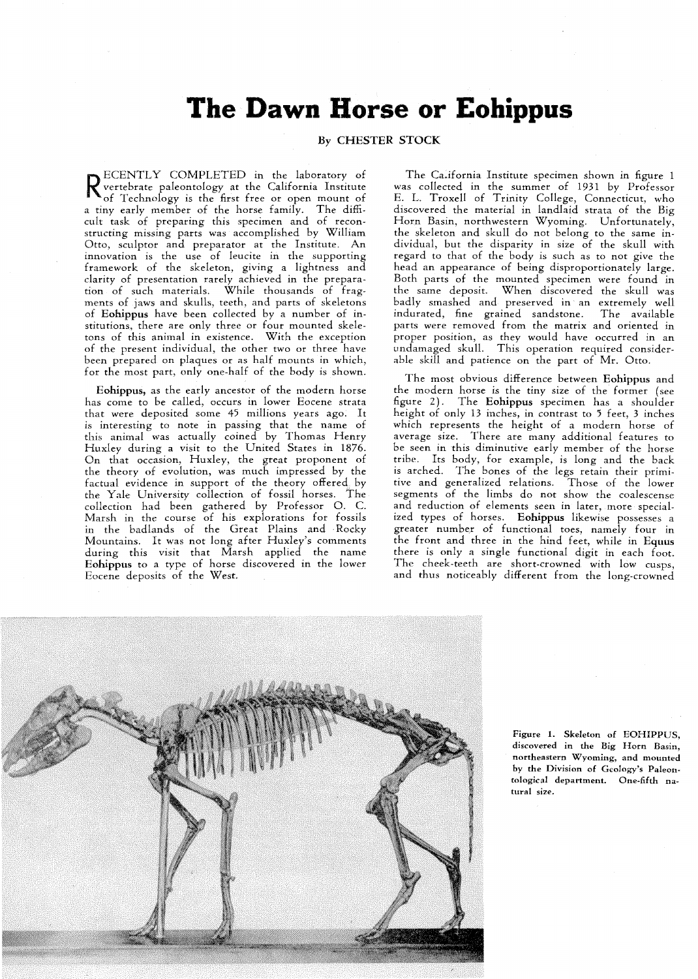## The Dawn Horse or Eohippus

## **Ey CHESTER STOCK**

ECENTLY COMPLETED in the laboratory of vertebrate paleontology at the California Institute of Technology is the first free or open mount of a tiny early member of the horse family. The difficult task of preparing this specimen and of reconstructing missing parts was accomplished by William Otto, sculptor and preparator at the Institute. An innovation is the use of leucite in the supporting framework of the skeleton, giving a lightness and clarity of presentation rarely achieved in the preparation of such materials. While thousands of fragments of jaws and skulls, teeth, and parts of skeletons of **Eohippus** have been collected by a number of institutions, there are only three or four mounted skeletons of this animal in existence. With the exception of the present individual, the other two or three have been prepared on plaques or as half mounts in which, for the most part, only one-half of the body is shown.

**Eohippus,** as the early ancestor of the modern horse has come to be called, occurs in lower Eocene strata that were deposited some 45 millions years ago. It is interesting to note in passing that the name of this animal was actually coined by Thomas Henry Huxley during a visit to the United States in 1876. On that occasion, Huxley, the great proponent of the theory of evolution, was much impressed by the factual evidence in support of the theory offered by the Yale University collection of fossil horses. The collection had been gathered by Professor 0. C. Marsh in the course of his explorations for fossils in the badlands of the Great Plains and Rocky Mountains. It was not long after Huxley's comments during this visit that Marsh applied the name **Eohippus** to a type of horse discovered in the lower Eocene deposits of the West.

The California Institute specimen shown in figure **1**  was collected in the summer of **1931** by Professor E. L. Troxell of Trinity College, Connecticut, who discovered the material in landlaid strata of the Big Horn Basin, northwestern Wyoming. Unfortunately, the skeleton and skull do not belong to the same individual, but the disparity in size of the skull with regard to that of the body is such as to not give the head an appearance of being disproportionately large. Both parts of the mounted specimen were found in the same deposit. When discovered the skull was badly smashed and preserved in an extremely well indurated, fine grained sandstone. The available parts were removed from the matrix and oriented in proper position, as they would have occurred in an undamaged skull. This operation required considerable skill and patience on the part of Mr. Otto.

The most obvious difference between **Eohippus** and the modern horse is the tiny size of the former (see figure 2). The **Eohippus** specimen has a shoulder height of only **13** inches, in contrast to *5* feet, **3** inches which represents the height of a modern horse of average size. There are many additional features to be seen in this diminutive early member of the horse tribe. Its body, for example, is long and the back is arched. The bones of the legs retain their primitive and generalized relations. Those of the lower segments of the limbs do not show the coalescense and reduction of elements seen in later, more specialized types of horses. **Eohippus** likewise possesses a greater number of functional toes, namely four in the front and three in the hind feet, while in **Equus**  there is only a single functional digit in each foot. The cheek-teeth are short-crowned with low cusps, and thus noticeably different from the long-crowned



**Figure 1. Skeleton of EOHIPPUS, discovered in the Big Horn Basin, northeastern Wyoming, and mounted by the Division of Geology's Paleontoioeical department. One-fifth natural size.**